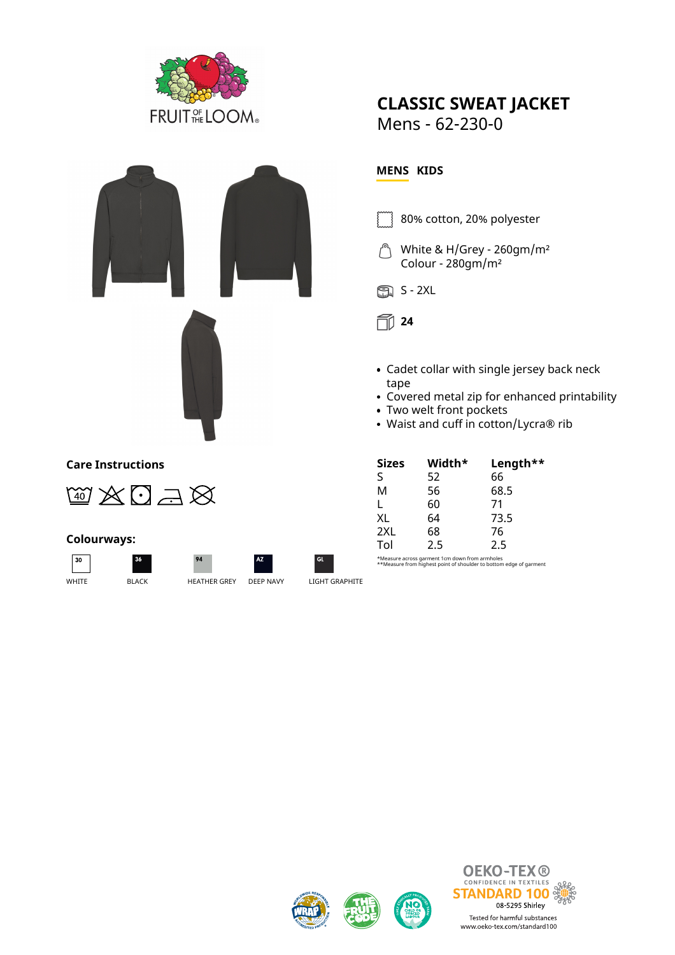

# **CLASSIC SWEAT JACKET**

Mens - 62-230-0

### **Care Instructions**



#### **Colourways:**





 $Q_{A}$ 



 $\overline{c}$ 

## **MENS KIDS**

- 80% cotton, 20% polyester
- White & H/Grey 260gm/m² Colour - 280gm/m²





- Cadet collar with single jersey back neck tape
- Covered metal zip for enhanced printability
- Two welt front pockets
- Waist and cuff in cotton/Lycra® rib

| <b>Sizes</b> | Width* | Length** |
|--------------|--------|----------|
| S            | 52     | 66       |
| М            | 56     | 68.5     |
| L            | 60     | 71       |
| XL           | 64     | 73.5     |
| 2XL          | 68     | 76       |
| Tol          | 2.5    | 2.5      |

\*Measure across garment 1cm down from armholes \*\*Measure from highest point of shoulder to bottom edge of garment